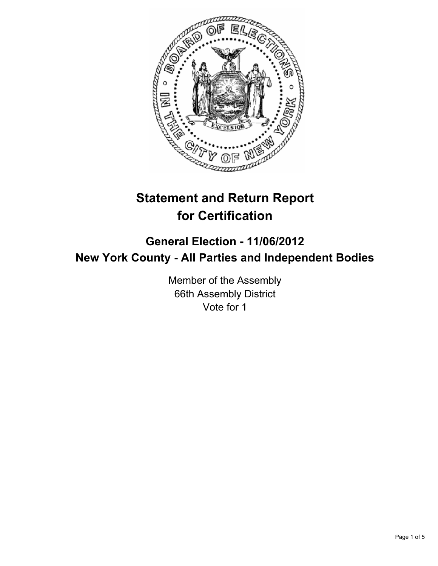

# **Statement and Return Report for Certification**

## **General Election - 11/06/2012 New York County - All Parties and Independent Bodies**

Member of the Assembly 66th Assembly District Vote for 1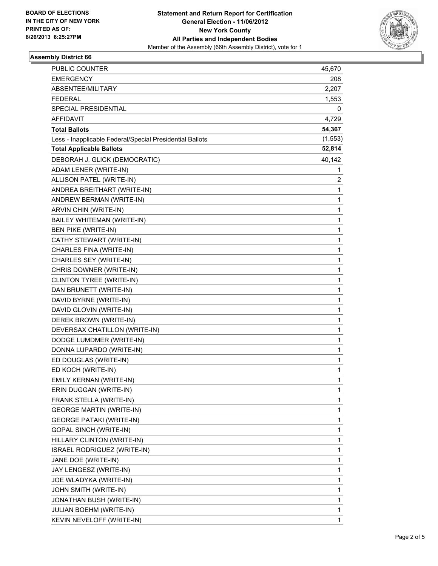

### **Assembly District 66**

| <b>PUBLIC COUNTER</b>                                    | 45,670   |
|----------------------------------------------------------|----------|
| <b>EMERGENCY</b>                                         | 208      |
| ABSENTEE/MILITARY                                        | 2,207    |
| <b>FEDERAL</b>                                           | 1,553    |
| SPECIAL PRESIDENTIAL                                     | 0        |
| AFFIDAVIT                                                | 4,729    |
| <b>Total Ballots</b>                                     | 54,367   |
| Less - Inapplicable Federal/Special Presidential Ballots | (1, 553) |
| <b>Total Applicable Ballots</b>                          | 52,814   |
| DEBORAH J. GLICK (DEMOCRATIC)                            | 40,142   |
| ADAM LENER (WRITE-IN)                                    | 1        |
| ALLISON PATEL (WRITE-IN)                                 | 2        |
| ANDREA BREITHART (WRITE-IN)                              | 1        |
| ANDREW BERMAN (WRITE-IN)                                 | 1        |
| ARVIN CHIN (WRITE-IN)                                    | 1        |
| BAILEY WHITEMAN (WRITE-IN)                               | 1        |
| <b>BEN PIKE (WRITE-IN)</b>                               | 1        |
| CATHY STEWART (WRITE-IN)                                 | 1        |
| CHARLES FINA (WRITE-IN)                                  | 1        |
| CHARLES SEY (WRITE-IN)                                   | 1        |
| CHRIS DOWNER (WRITE-IN)                                  | 1        |
| CLINTON TYREE (WRITE-IN)                                 | 1        |
| DAN BRUNETT (WRITE-IN)                                   | 1        |
| DAVID BYRNE (WRITE-IN)                                   | 1        |
| DAVID GLOVIN (WRITE-IN)                                  | 1        |
| DEREK BROWN (WRITE-IN)                                   | 1        |
| DEVERSAX CHATILLON (WRITE-IN)                            | 1        |
| DODGE LUMDMER (WRITE-IN)                                 | 1        |
| DONNA LUPARDO (WRITE-IN)                                 | 1        |
| ED DOUGLAS (WRITE-IN)                                    | 1        |
| ED KOCH (WRITE-IN)                                       | 1        |
| EMILY KERNAN (WRITE-IN)                                  | 1        |
| ERIN DUGGAN (WRITE-IN)                                   | 1        |
| FRANK STELLA (WRITE-IN)                                  | 1        |
| <b>GEORGE MARTIN (WRITE-IN)</b>                          | 1        |
| <b>GEORGE PATAKI (WRITE-IN)</b>                          | 1        |
| <b>GOPAL SINCH (WRITE-IN)</b>                            | 1        |
| HILLARY CLINTON (WRITE-IN)                               | 1        |
| ISRAEL RODRIGUEZ (WRITE-IN)                              | 1        |
| JANE DOE (WRITE-IN)                                      | 1        |
| JAY LENGESZ (WRITE-IN)                                   | 1        |
| JOE WLADYKA (WRITE-IN)                                   | 1        |
| JOHN SMITH (WRITE-IN)                                    | 1        |
| JONATHAN BUSH (WRITE-IN)                                 | 1        |
| JULIAN BOEHM (WRITE-IN)                                  | 1        |
| KEVIN NEVELOFF (WRITE-IN)                                | 1        |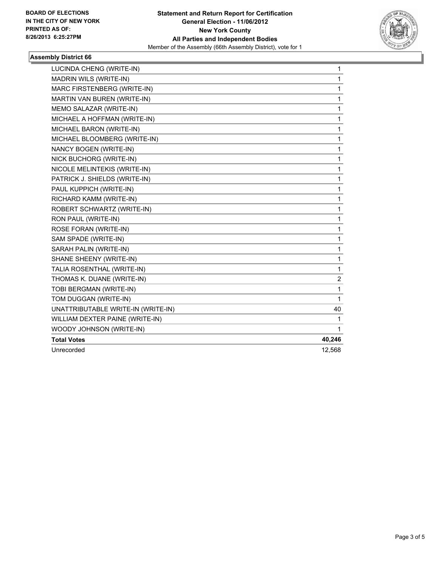

### **Assembly District 66**

| LUCINDA CHENG (WRITE-IN)           | $\mathbf{1}$ |
|------------------------------------|--------------|
| MADRIN WILS (WRITE-IN)             | $\mathbf{1}$ |
| MARC FIRSTENBERG (WRITE-IN)        | 1            |
| MARTIN VAN BUREN (WRITE-IN)        | 1            |
| MEMO SALAZAR (WRITE-IN)            | 1            |
| MICHAEL A HOFFMAN (WRITE-IN)       | 1            |
| MICHAEL BARON (WRITE-IN)           | 1            |
| MICHAEL BLOOMBERG (WRITE-IN)       | 1            |
| NANCY BOGEN (WRITE-IN)             | 1            |
| NICK BUCHORG (WRITE-IN)            | 1            |
| NICOLE MELINTEKIS (WRITE-IN)       | 1            |
| PATRICK J. SHIELDS (WRITE-IN)      | 1            |
| PAUL KUPPICH (WRITE-IN)            | 1            |
| RICHARD KAMM (WRITE-IN)            | 1            |
| ROBERT SCHWARTZ (WRITE-IN)         | 1            |
| RON PAUL (WRITE-IN)                | 1            |
| ROSE FORAN (WRITE-IN)              | 1            |
| SAM SPADE (WRITE-IN)               | 1            |
| SARAH PALIN (WRITE-IN)             | 1            |
| SHANE SHEENY (WRITE-IN)            | 1            |
| TALIA ROSENTHAL (WRITE-IN)         | 1            |
| THOMAS K. DUANE (WRITE-IN)         | 2            |
| TOBI BERGMAN (WRITE-IN)            | 1            |
| TOM DUGGAN (WRITE-IN)              | 1            |
| UNATTRIBUTABLE WRITE-IN (WRITE-IN) | 40           |
| WILLIAM DEXTER PAINE (WRITE-IN)    | 1            |
| WOODY JOHNSON (WRITE-IN)           | 1            |
| <b>Total Votes</b>                 | 40,246       |
| Unrecorded                         | 12,568       |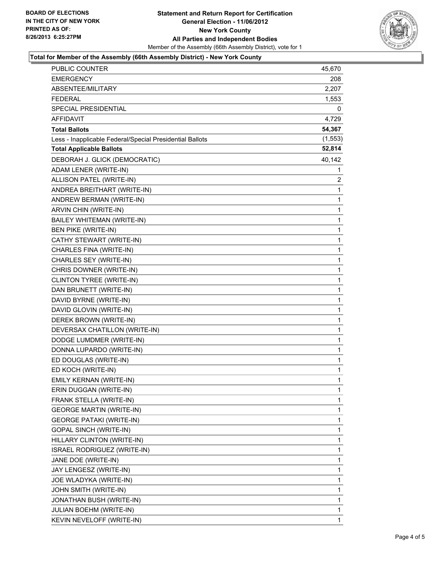

#### **Total for Member of the Assembly (66th Assembly District) - New York County**

| <b>PUBLIC COUNTER</b>                                    | 45,670       |
|----------------------------------------------------------|--------------|
| EMERGENCY                                                | 208          |
| ABSENTEE/MILITARY                                        | 2,207        |
| <b>FEDERAL</b>                                           | 1,553        |
| SPECIAL PRESIDENTIAL                                     | 0            |
| AFFIDAVIT                                                | 4,729        |
| Total Ballots                                            | 54,367       |
| Less - Inapplicable Federal/Special Presidential Ballots | (1, 553)     |
| <b>Total Applicable Ballots</b>                          | 52,814       |
| DEBORAH J. GLICK (DEMOCRATIC)                            | 40,142       |
| ADAM LENER (WRITE-IN)                                    | 1            |
| ALLISON PATEL (WRITE-IN)                                 | 2            |
| ANDREA BREITHART (WRITE-IN)                              | 1            |
| ANDREW BERMAN (WRITE-IN)                                 | 1            |
| ARVIN CHIN (WRITE-IN)                                    | 1            |
| BAILEY WHITEMAN (WRITE-IN)                               | 1            |
| <b>BEN PIKE (WRITE-IN)</b>                               | 1            |
| CATHY STEWART (WRITE-IN)                                 | 1            |
| CHARLES FINA (WRITE-IN)                                  | 1            |
| CHARLES SEY (WRITE-IN)                                   | 1            |
| CHRIS DOWNER (WRITE-IN)                                  | 1            |
| CLINTON TYREE (WRITE-IN)                                 | 1            |
| DAN BRUNETT (WRITE-IN)                                   | 1            |
| DAVID BYRNE (WRITE-IN)                                   | 1            |
| DAVID GLOVIN (WRITE-IN)                                  | 1            |
| DEREK BROWN (WRITE-IN)                                   | 1            |
| DEVERSAX CHATILLON (WRITE-IN)                            | 1            |
| DODGE LUMDMER (WRITE-IN)                                 | 1            |
| DONNA LUPARDO (WRITE-IN)                                 | 1            |
| ED DOUGLAS (WRITE-IN)                                    | 1            |
| ED KOCH (WRITE-IN)                                       | 1            |
| EMILY KERNAN (WRITE-IN)                                  | $\mathbf{1}$ |
| ERIN DUGGAN (WRITE-IN)                                   | 1            |
| FRANK STELLA (WRITE-IN)                                  | 1            |
| <b>GEORGE MARTIN (WRITE-IN)</b>                          | 1            |
| <b>GEORGE PATAKI (WRITE-IN)</b>                          | 1            |
| GOPAL SINCH (WRITE-IN)                                   | 1            |
| HILLARY CLINTON (WRITE-IN)                               | 1            |
| ISRAEL RODRIGUEZ (WRITE-IN)                              | 1            |
| JANE DOE (WRITE-IN)                                      | 1            |
| JAY LENGESZ (WRITE-IN)                                   | 1            |
| JOE WLADYKA (WRITE-IN)                                   | 1            |
| JOHN SMITH (WRITE-IN)                                    | 1            |
| JONATHAN BUSH (WRITE-IN)                                 | 1            |
| JULIAN BOEHM (WRITE-IN)                                  | 1            |
| KEVIN NEVELOFF (WRITE-IN)                                | 1            |
|                                                          |              |